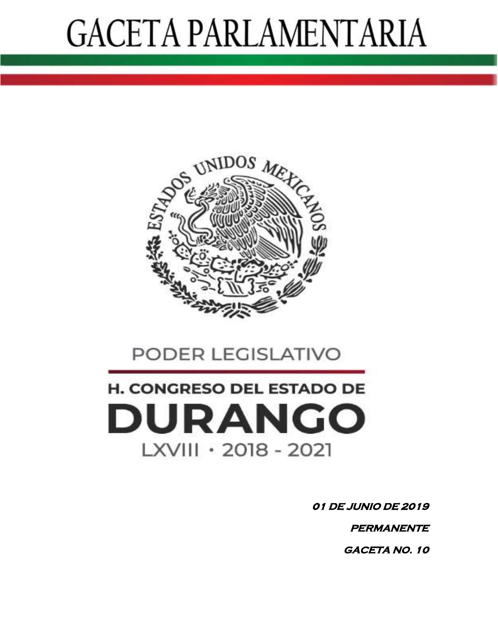

### PODER LEGISLATIVO

### H. CONGRESO DEL ESTADO DE **DURANGO** LXVIII · 2018 - 2021

**01 DE JUNIO DE 2019** 

 **PERMANENTE** 

 **GACETA NO. 10**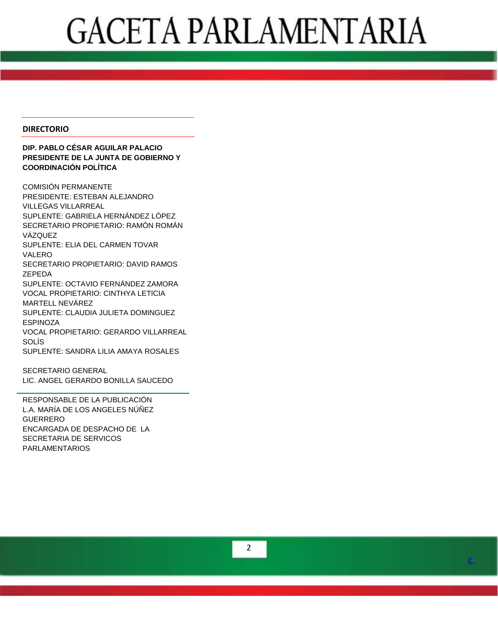#### **DIRECTORIO**

#### **DIP. PABLO CÉSAR AGUILAR PALACIO PRESIDENTE DE LA JUNTA DE GOBIERNO Y COORDINACIÓN POLÍTICA**

COMISIÓN PERMANENTE PRESIDENTE: ESTEBAN ALEJANDRO VILLEGAS VILLARREAL SUPLENTE: GABRIELA HERNÁNDEZ LÓPEZ SECRETARI O PROPIETARI O: RAMÓN ROMÁN VÁZQUEZ SUPLENTE: ELIA DEL CARMEN TOVAR VALERO SECRETARIO PROPIETARIO: DAVID RAMOS ZEPEDA SUPLENTE : OCTAVIO FERNÁNDEZ ZAMORA VOCAL PROPIETARIO: CINTHYA LETICIA MARTELL NEVÁREZ SUPLENTE: CLAUDIA JULIETA DOMINGUEZ ESPINOZA VOCAL PROPIETARIO: GERARDO VILLARREAL SOLÍS SUPLENTE: SANDRA LILIA AMAYA ROSALES

SECRETARIO GENERAL LIC. ANGEL GERARDO BONILLA SAUCEDO

RESPONSABLE DE LA PUBLICACIÓN L.A. MARÍA DE LOS ANGELES NÚÑEZ GUERRERO ENCARGADA DE DESPACHO DE LA SECRETARIA DE SERVICOS PARLAMENTARIOS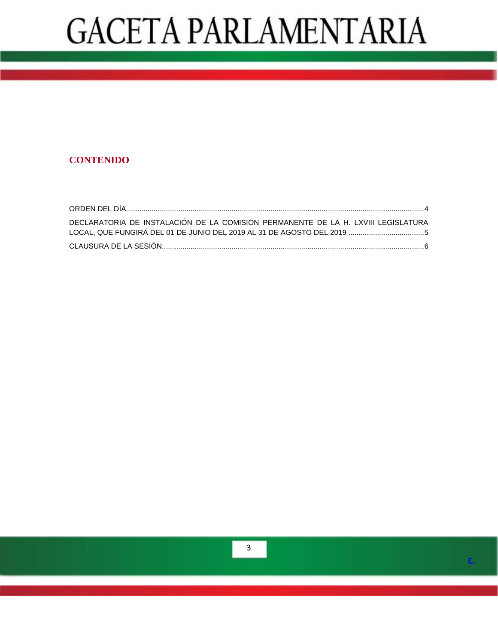### **CONTENIDO**

| DECLARATORIA DE INSTALACIÓN DE LA COMISIÓN PERMANENTE DE LA H. LXVIII LEGISLATURA |  |
|-----------------------------------------------------------------------------------|--|
|                                                                                   |  |
|                                                                                   |  |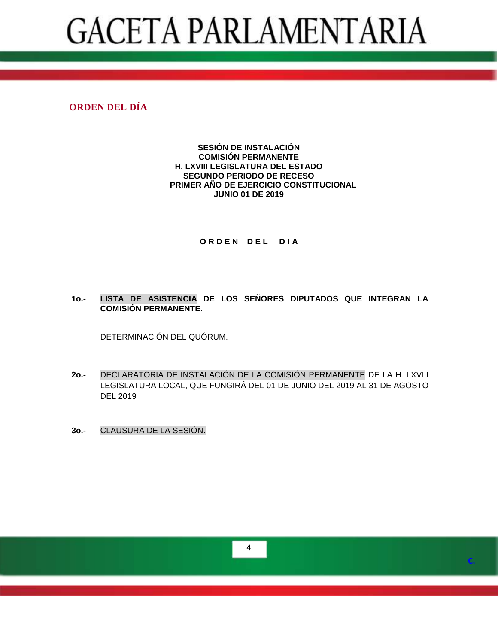#### <span id="page-3-0"></span>**ORDEN DEL DÍA**

#### **SESIÓN DE INSTALACIÓN COMISIÓN PERMANENTE H. LXVIII LEGISLATURA DEL ESTADO SEGUNDO PERIODO DE RECESO PRIMER AÑO DE EJERCICIO CONSTITUCIONAL JUNIO 01 DE 2019**

#### **ORDEN DEL DIA**

#### **1o.- LISTA DE ASISTENCIA DE LOS SEÑORES DIPUTADOS QUE INTEGRAN LA COMISIÓN PERMANENTE.**

DETERMINACIÓN DEL QUÓRUM.

- **2o.-** DECLARATORIA DE INSTALACIÓN DE LA COMISIÓN PERMANENTE DE LA H. LXVIII LEGISLATURA LOCAL, QUE FUNGIRÁ DEL 01 DE JUNIO DEL 2019 AL 31 DE AGOSTO DEL 2019
- **3o.-** CLAUSURA DE LA SESIÓN.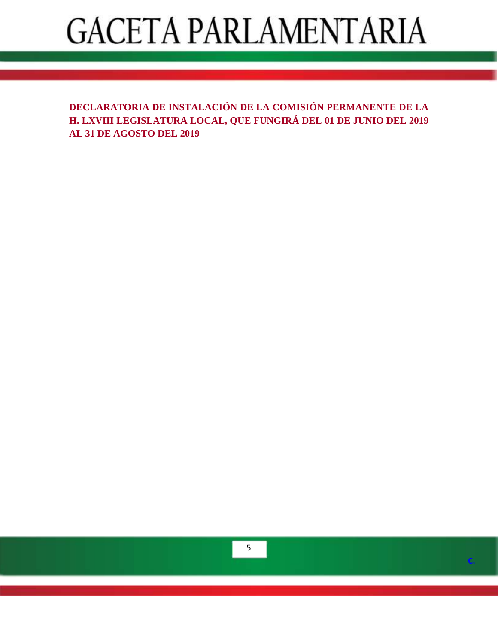<span id="page-4-0"></span>**DECLARATORIA DE INSTALACIÓN DE LA COMISIÓN PERMANENTE DE LA H. LXVIII LEGISLATURA LOCAL, QUE FUNGIRÁ DEL 01 DE JUNIO DEL 2019 AL 31 DE AGOSTO DEL 2019**